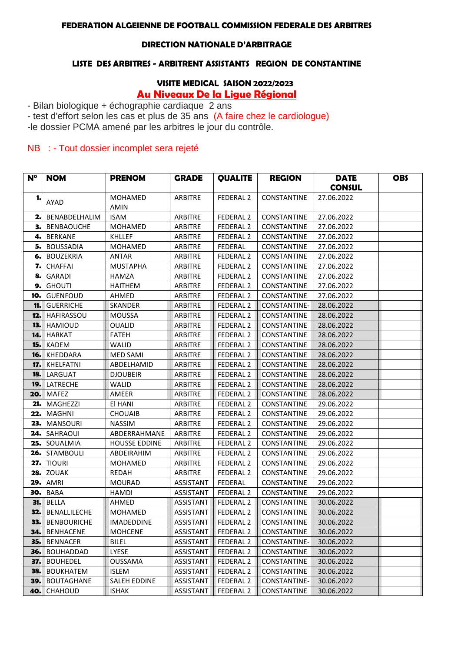### **FEDERATION ALGEIENNE DE FOOTBALL COMMISSION FEDERALE DES ARBITRES**

#### **DIRECTION NATIONALE D'ARBITRAGE**

#### **LISTE DES ARBITRES - ARBITRENT ASSISTANTS REGION DE CONSTANTINE**

## **VISITE MEDICAL SAISON 2022/2023**

### **Au Niveaux De la Ligue Régional**

- Bilan biologique + échographie cardiaque 2 ans

- test d'effort selon les cas et plus de 35 ans (A faire chez le cardiologue)

-le dossier PCMA amené par les arbitres le jour du contrôle.

### NB : - Tout dossier incomplet sera rejeté

| $N^{\circ}$ | <b>NOM</b>             | <b>PRENOM</b>        | <b>GRADE</b>     | <b>QUALITE</b>       | <b>REGION</b>      | <b>DATE</b>   | <b>OBS</b> |
|-------------|------------------------|----------------------|------------------|----------------------|--------------------|---------------|------------|
|             |                        |                      |                  |                      |                    | <b>CONSUL</b> |            |
| 1.          |                        | <b>MOHAMED</b>       | ARBITRE          | FEDERAL 2            | CONSTANTINE        | 27.06.2022    |            |
|             | AYAD                   | <b>AMIN</b>          |                  |                      |                    |               |            |
| 2.          | BENABDELHALIM          | <b>ISAM</b>          | <b>ARBITRE</b>   | FEDERAL <sub>2</sub> | CONSTANTINE        | 27.06.2022    |            |
| з.          | <b>BENBAOUCHE</b>      | <b>MOHAMED</b>       | ARBITRE          | FEDERAL 2            | CONSTANTINE        | 27.06.2022    |            |
| 4.          | <b>BERKANE</b>         | KHLLEF               | <b>ARBITRE</b>   | FEDERAL 2            | CONSTANTINE        | 27.06.2022    |            |
| 5.          | <b>BOUSSADIA</b>       | <b>MOHAMED</b>       | <b>ARBITRE</b>   | FEDERAL              | CONSTANTINE        | 27.06.2022    |            |
| 6.          | <b>BOUZEKRIA</b>       | ANTAR                | <b>ARBITRE</b>   | FEDERAL 2            | CONSTANTINE        | 27.06.2022    |            |
| 7.          | <b>CHAFFAI</b>         | <b>MUSTAPHA</b>      | <b>ARBITRE</b>   | <b>FEDERAL 2</b>     | CONSTANTINE        | 27.06.2022    |            |
| 8.          | GARADI                 | HAMZA                | <b>ARBITRE</b>   | FEDERAL 2            | CONSTANTINE        | 27.06.2022    |            |
| 9.          | <b>GHOUTI</b>          | <b>HAITHEM</b>       | <b>ARBITRE</b>   | FEDERAL <sub>2</sub> | CONSTANTINE        | 27.06.2022    |            |
| 10.         | <b>GUENFOUD</b>        | AHMED                | <b>ARBITRE</b>   | FEDERAL <sub>2</sub> | CONSTANTINE        | 27.06.2022    |            |
| 11.         | <b>GUERRICHE</b>       | SKANDER              | ARBITRE          | FEDERAL 2            | CONSTANTINE-       | 28.06.2022    |            |
| 12.         | <b>HAFIRASSOU</b>      | <b>MOUSSA</b>        | <b>ARBITRE</b>   | FEDERAL 2            | CONSTANTINE        | 28.06.2022    |            |
| 13.         | <b>HAMIOUD</b>         | <b>OUALID</b>        | <b>ARBITRE</b>   | FEDERAL 2            | CONSTANTINE        | 28.06.2022    |            |
| 14.         | <b>HARKAT</b>          | <b>FATEH</b>         | <b>ARBITRE</b>   | FEDERAL <sub>2</sub> | CONSTANTINE        | 28.06.2022    |            |
| 15.         | <b>KADEM</b>           | WALID                | <b>ARBITRE</b>   | FEDERAL 2            | CONSTANTINE        | 28.06.2022    |            |
| 16.         | KHEDDARA               | MED SAMI             | ARBITRE          | FEDERAL 2            | CONSTANTINE        | 28.06.2022    |            |
| 17.         | KHELFATNI              | ABDELHAMID           | <b>ARBITRE</b>   | <b>FEDERAL 2</b>     | <b>CONSTANTINE</b> | 28.06.2022    |            |
| 18.         | LARGUAT                | <b>DJOUBEIR</b>      | <b>ARBITRE</b>   | FEDERAL <sub>2</sub> | CONSTANTINE        | 28.06.2022    |            |
| 19.         | LATRECHE               | WALID                | ARBITRE          | FEDERAL 2            | CONSTANTINE        | 28.06.2022    |            |
| 20.         | <b>MAFEZ</b>           | AMEER                | <b>ARBITRE</b>   | FEDERAL 2            | CONSTANTINE        | 28.06.2022    |            |
| 21.         | MAGHEZZI               | El HANI              | ARBITRE          | FEDERAL <sub>2</sub> | CONSTANTINE        | 29.06.2022    |            |
| 22.         | <b>MAGHNI</b>          | <b>CHOUAIB</b>       | ARBITRE          | FEDERAL 2            | CONSTANTINE        | 29.06.2022    |            |
| 23.         | <b>MANSOURI</b>        | <b>NASSIM</b>        | ARBITRE          | FEDERAL <sub>2</sub> | CONSTANTINE        | 29.06.2022    |            |
| 24.         | SAHRAOUI               | ABDERRAHMANE         | ARBITRE          | FEDERAL 2            | CONSTANTINE        | 29.06.2022    |            |
| 25.         | SOUALMIA               | <b>HOUSSE EDDINE</b> | ARBITRE          | FEDERAL <sub>2</sub> | CONSTANTINE        | 29.06.2022    |            |
| 26.         | STAMBOULI              | ABDEIRAHIM           | <b>ARBITRE</b>   | FEDERAL <sub>2</sub> | CONSTANTINE        | 29.06.2022    |            |
| 27.         | <b>TIOURI</b>          | <b>MOHAMED</b>       | <b>ARBITRE</b>   | FEDERAL 2            | CONSTANTINE        | 29.06.2022    |            |
| 28.         | ZOUAK                  | REDAH                | <b>ARBITRE</b>   | FEDERAL 2            | CONSTANTINE        | 29.06.2022    |            |
| 29.         | AMRI                   | <b>MOURAD</b>        | ASSISTANT        | <b>FEDERAL</b>       | CONSTANTINE        | 29.06.2022    |            |
| 30.         | <b>BABA</b>            | HAMDI                | ASSISTANT        | FEDERAL 2            | CONSTANTINE        | 29.06.2022    |            |
| 31.         | <b>BELLA</b>           | AHMED                | ASSISTANT        | FEDERAL 2            | CONSTANTINE        | 30.06.2022    |            |
| 32.         | <b>BENALLILECHE</b>    | MOHAMED              | <b>ASSISTANT</b> | FEDERAL 2            | CONSTANTINE        | 30.06.2022    |            |
|             | <b>33.</b> BENBOURICHE | IMADEDDINE           | ASSISTANT        | FEDERAL <sub>2</sub> | CONSTANTINE        | 30.06.2022    |            |
| 34.I        | <b>BENHACENE</b>       | <b>MOHCENE</b>       | ASSISTANT        | FEDERAL <sub>2</sub> | CONSTANTINE        | 30.06.2022    |            |
| 35.         | <b>BENNACER</b>        | <b>BILEL</b>         | ASSISTANT        | FEDERAL <sub>2</sub> | CONSTANTINE-       | 30.06.2022    |            |
| 36.         | <b>BOUHADDAD</b>       | LYESE                | ASSISTANT        | FEDERAL <sub>2</sub> | CONSTANTINE        | 30.06.2022    |            |
| 37.         | <b>BOUHEDEL</b>        | <b>OUSSAMA</b>       | ASSISTANT        | FEDERAL 2            | <b>CONSTANTINE</b> | 30.06.2022    |            |
|             | <b>38.</b> BOUKHATEM   | <b>ISLEM</b>         | ASSISTANT        | FEDERAL 2            | CONSTANTINE        | 30.06.2022    |            |
| <b>39.</b>  | <b>BOUTAGHANE</b>      | SALEH EDDINE         | ASSISTANT        | FEDERAL <sub>2</sub> | CONSTANTINE-       | 30.06.2022    |            |
|             | 40. CHAHOUD            | <b>ISHAK</b>         | ASSISTANT        | FEDERAL 2            | CONSTANTINE        | 30.06.2022    |            |